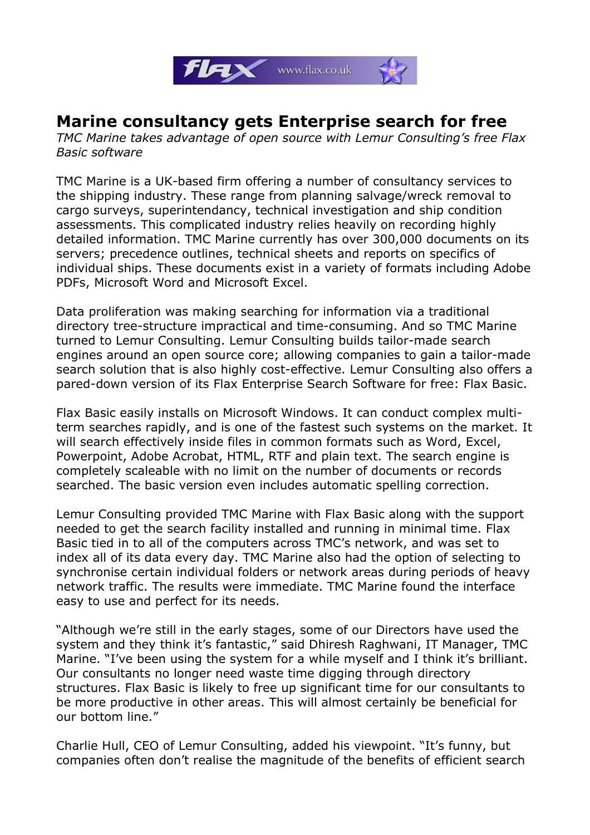

## **Marine consultancy gets Enterprise search for free**

*TMC Marine takes advantage of open source with Lemur Consulting's free Flax Basic software* 

TMC Marine is a UK-based firm offering a number of consultancy services to the shipping industry. These range from planning salvage/wreck removal to cargo surveys, superintendancy, technical investigation and ship condition assessments. This complicated industry relies heavily on recording highly detailed information. TMC Marine currently has over 300,000 documents on its servers; precedence outlines, technical sheets and reports on specifics of individual ships. These documents exist in a variety of formats including Adobe PDFs, Microsoft Word and Microsoft Excel.

Data proliferation was making searching for information via a traditional directory tree-structure impractical and time-consuming. And so TMC Marine turned to Lemur Consulting. Lemur Consulting builds tailor-made search engines around an open source core; allowing companies to gain a tailor-made search solution that is also highly cost-effective. Lemur Consulting also offers a pared-down version of its Flax Enterprise Search Software for free: Flax Basic.

Flax Basic easily installs on Microsoft Windows. It can conduct complex multiterm searches rapidly, and is one of the fastest such systems on the market. It will search effectively inside files in common formats such as Word, Excel, Powerpoint, Adobe Acrobat, HTML, RTF and plain text. The search engine is completely scaleable with no limit on the number of documents or records searched. The basic version even includes automatic spelling correction.

Lemur Consulting provided TMC Marine with Flax Basic along with the support needed to get the search facility installed and running in minimal time. Flax Basic tied in to all of the computers across TMC's network, and was set to index all of its data every day. TMC Marine also had the option of selecting to synchronise certain individual folders or network areas during periods of heavy network traffic. The results were immediate. TMC Marine found the interface easy to use and perfect for its needs.

"Although we're still in the early stages, some of our Directors have used the system and they think it's fantastic," said Dhiresh Raghwani, IT Manager, TMC Marine. "I've been using the system for a while myself and I think it's brilliant. Our consultants no longer need waste time digging through directory structures. Flax Basic is likely to free up significant time for our consultants to be more productive in other areas. This will almost certainly be beneficial for our bottom line."

Charlie Hull, CEO of Lemur Consulting, added his viewpoint. "It's funny, but companies often don't realise the magnitude of the benefits of efficient search